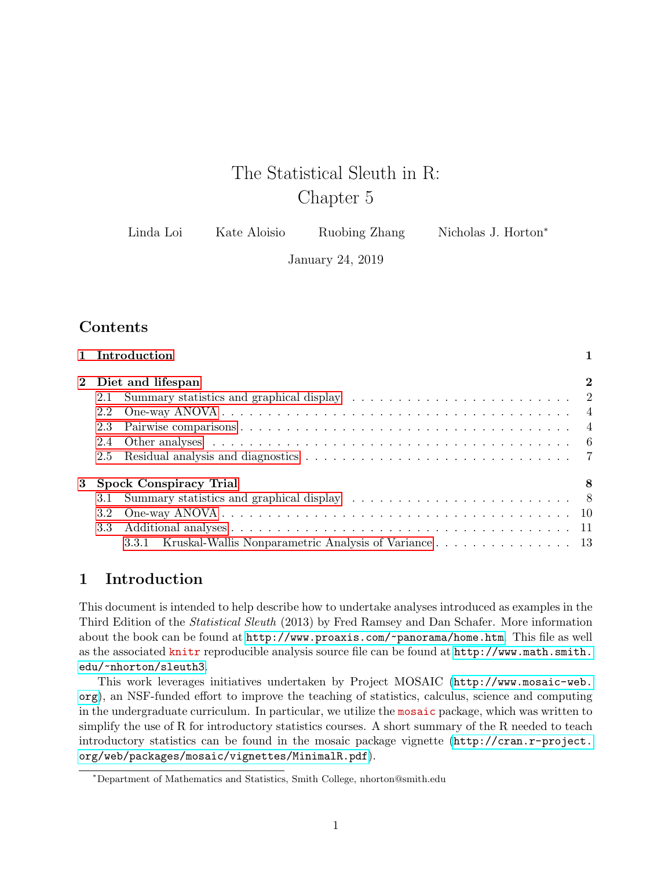# The Statistical Sleuth in R: Chapter 5

| Linda Loi | Kate Aloisio | Ruobing Zhang | Nicholas J. Horton <sup>*</sup> |
|-----------|--------------|---------------|---------------------------------|
|-----------|--------------|---------------|---------------------------------|

January 24, 2019

# **Contents**

|     | 1 Introduction                                                                                                                                                                                                                 |          |
|-----|--------------------------------------------------------------------------------------------------------------------------------------------------------------------------------------------------------------------------------|----------|
|     | 2 Diet and lifespan                                                                                                                                                                                                            | $\bf{2}$ |
|     |                                                                                                                                                                                                                                |          |
| 2.2 |                                                                                                                                                                                                                                |          |
| 2.3 |                                                                                                                                                                                                                                |          |
| 2.4 | Other analyses entering the contract of the contract of the contract of the contract of the contract of the contract of the contract of the contract of the contract of the contract of the contract of the contract of the co |          |
| 2.5 |                                                                                                                                                                                                                                |          |
|     | 3 Spock Conspiracy Trial                                                                                                                                                                                                       | 8        |
|     |                                                                                                                                                                                                                                |          |
| 3.2 |                                                                                                                                                                                                                                |          |
| 3.3 |                                                                                                                                                                                                                                |          |
|     | Kruskal-Wallis Nonparametric Analysis of Variance 13<br>3.3.1                                                                                                                                                                  |          |

# <span id="page-0-0"></span>1 Introduction

This document is intended to help describe how to undertake analyses introduced as examples in the Third Edition of the Statistical Sleuth (2013) by Fred Ramsey and Dan Schafer. More information about the book can be found at <http://www.proaxis.com/~panorama/home.htm>. This file as well as the associated knitr reproducible analysis source file can be found at [http://www.math.smith.](http://www.math.smith.edu/~nhorton/sleuth3) [edu/~nhorton/sleuth3](http://www.math.smith.edu/~nhorton/sleuth3).

This work leverages initiatives undertaken by Project MOSAIC ([http://www.mosaic-web.](http://www.mosaic-web.org) [org](http://www.mosaic-web.org)), an NSF-funded effort to improve the teaching of statistics, calculus, science and computing in the undergraduate curriculum. In particular, we utilize the mosaic package, which was written to simplify the use of R for introductory statistics courses. A short summary of the R needed to teach introductory statistics can be found in the mosaic package vignette ([http://cran.r-project.](http://cran.r-project.org/web/packages/mosaic/vignettes/MinimalR.pdf) [org/web/packages/mosaic/vignettes/MinimalR.pdf](http://cran.r-project.org/web/packages/mosaic/vignettes/MinimalR.pdf)).

<sup>∗</sup>Department of Mathematics and Statistics, Smith College, nhorton@smith.edu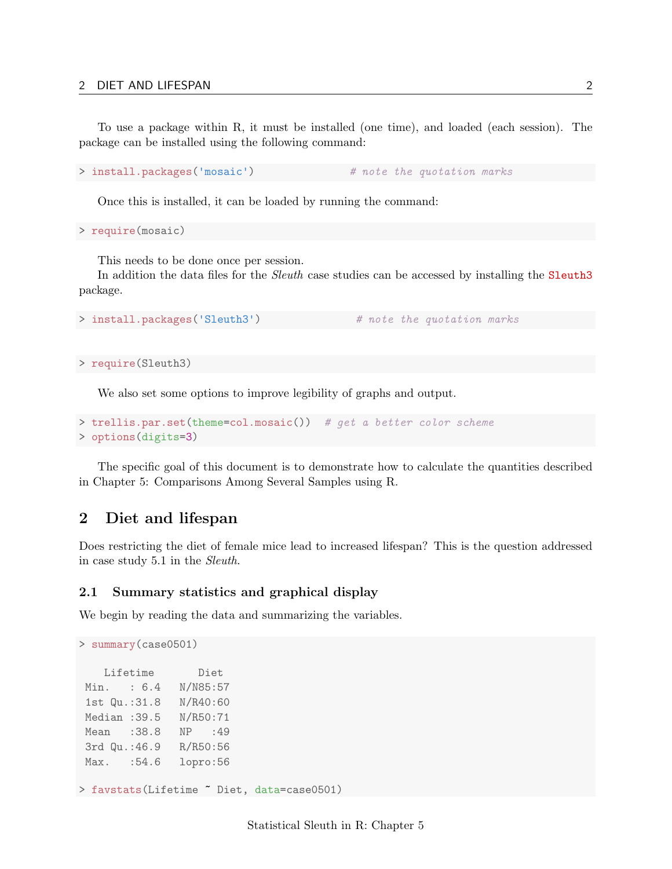To use a package within R, it must be installed (one time), and loaded (each session). The package can be installed using the following command:

> install.packages('mosaic') # note the quotation marks

Once this is installed, it can be loaded by running the command:

> require(mosaic)

This needs to be done once per session.

In addition the data files for the *Sleuth* case studies can be accessed by installing the **Sleuth3** package.

```
> install.packages('Sleuth3') # note the quotation marks
```
> require(Sleuth3)

We also set some options to improve legibility of graphs and output.

```
> trellis.par.set(theme=col.mosaic()) # get a better color scheme
> options(digits=3)
```
The specific goal of this document is to demonstrate how to calculate the quantities described in Chapter 5: Comparisons Among Several Samples using R.

## <span id="page-1-0"></span>2 Diet and lifespan

Does restricting the diet of female mice lead to increased lifespan? This is the question addressed in case study 5.1 in the Sleuth.

#### <span id="page-1-1"></span>2.1 Summary statistics and graphical display

We begin by reading the data and summarizing the variables.

```
> summary(case0501)
   Lifetime Diet
Min. : 6.4 N/N85:57
1st Qu.:31.8 N/R40:60
Median :39.5 N/R50:71
Mean :38.8 NP :49
3rd Qu.:46.9 R/R50:56
Max. :54.6 lopro:56
> favstats(Lifetime ~ Diet, data=case0501)
```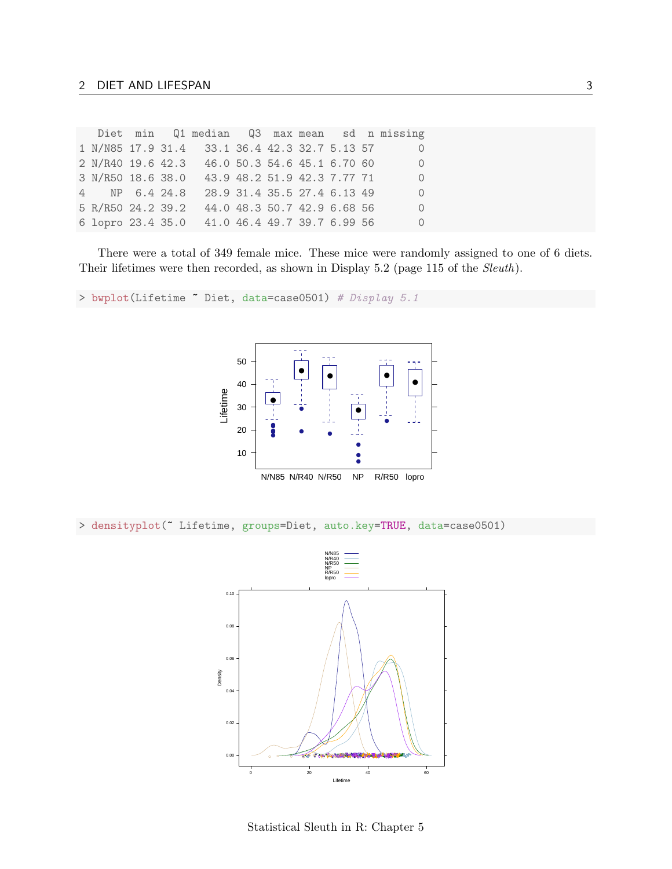|                   |  |                                               |  |                             |  | Diet min Q1 median Q3 max mean sd n missing |
|-------------------|--|-----------------------------------------------|--|-----------------------------|--|---------------------------------------------|
|                   |  | 1 N/N85 17.9 31.4 33.1 36.4 42.3 32.7 5.13 57 |  |                             |  | $\Omega$                                    |
|                   |  | 2 N/R40 19.6 42.3 46.0 50.3 54.6 45.1 6.70 60 |  |                             |  | $\overline{0}$                              |
| 3 N/R50 18.6 38.0 |  |                                               |  | 43.9 48.2 51.9 42.3 7.77 71 |  | $\Omega$                                    |
| 4 NP 6.4 24.8     |  |                                               |  | 28.9 31.4 35.5 27.4 6.13 49 |  | $\Omega$                                    |
| 5 R/R50 24.2 39.2 |  |                                               |  | 44.0 48.3 50.7 42.9 6.68 56 |  | $\Omega$                                    |
|                   |  | 6 lopro 23.4 35.0 41.0 46.4 49.7 39.7 6.99 56 |  |                             |  | $\overline{0}$                              |

There were a total of 349 female mice. These mice were randomly assigned to one of 6 diets. Their lifetimes were then recorded, as shown in Display 5.2 (page 115 of the Sleuth).

> bwplot(Lifetime " Diet, data=case0501) # Display 5.1



> densityplot(~ Lifetime, groups=Diet, auto.key=TRUE, data=case0501)



Statistical Sleuth in R: Chapter 5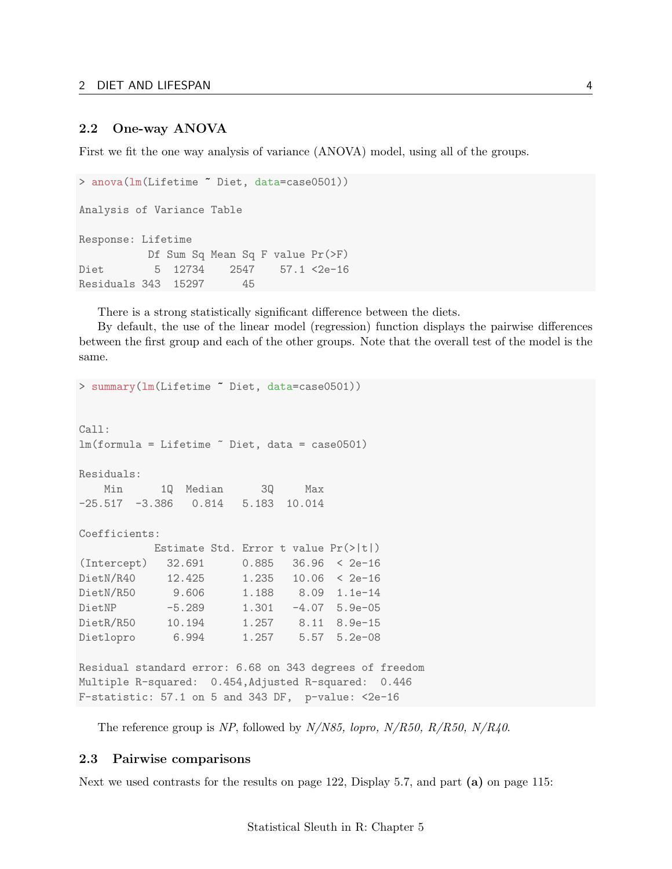#### <span id="page-3-0"></span>2.2 One-way ANOVA

First we fit the one way analysis of variance (ANOVA) model, using all of the groups.

```
> anova(lm(Lifetime ~ Diet, data=case0501))
Analysis of Variance Table
Response: Lifetime
         Df Sum Sq Mean Sq F value Pr(>F)
Diet 5 12734 2547 57.1 <2e-16
Residuals 343 15297 45
```
There is a strong statistically significant difference between the diets.

By default, the use of the linear model (regression) function displays the pairwise differences between the first group and each of the other groups. Note that the overall test of the model is the same.

```
> summary(lm(Lifetime ~ Diet, data=case0501))
Call:
lm(formula = Lifetime " Diet, data = case0501)Residuals:
   Min 1Q Median 3Q Max
-25.517 -3.386 0.814 5.183 10.014
Coefficients:
         Estimate Std. Error t value Pr(>|t|)
(Intercept) 32.691 0.885 36.96 < 2e-16
DietN/R40 12.425 1.235 10.06 < 2e-16
DietN/R50 9.606 1.188 8.09 1.1e-14
DietNP -5.289 1.301 -4.07 5.9e-05
DietR/R50 10.194 1.257 8.11 8.9e-15
Dietlopro 6.994 1.257 5.57 5.2e-08
Residual standard error: 6.68 on 343 degrees of freedom
Multiple R-squared: 0.454,Adjusted R-squared: 0.446
F-statistic: 57.1 on 5 and 343 DF, p-value: <2e-16
```
The reference group is NP, followed by  $N/N85$ , lopro,  $N/R50$ ,  $R/R50$ ,  $N/R40$ .

## <span id="page-3-1"></span>2.3 Pairwise comparisons

Next we used contrasts for the results on page 122, Display 5.7, and part (a) on page 115: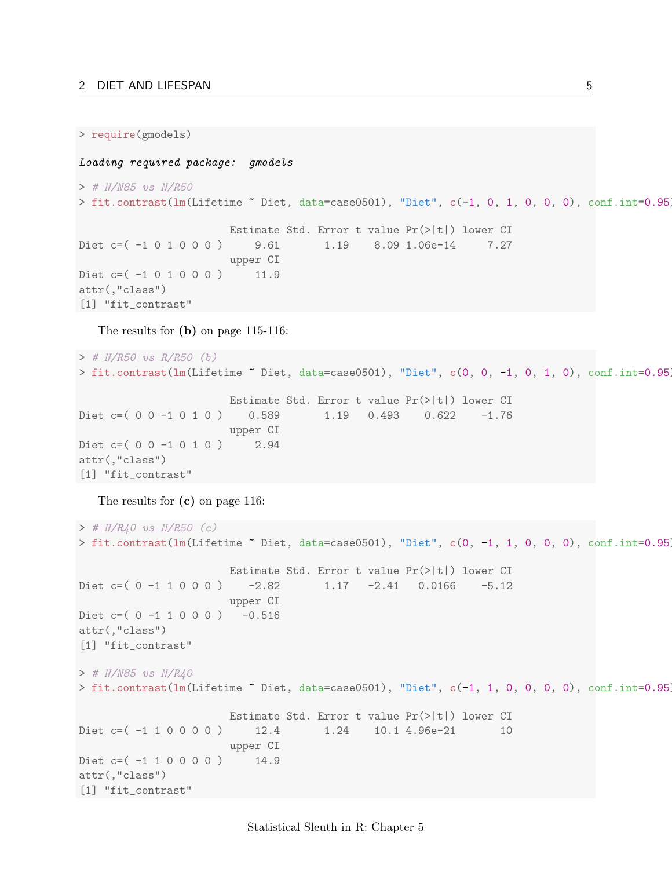```
> require(gmodels)
```
#### Loading required package: gmodels

```
> # N/N85 vs N/R50
> fit.contrast(lm(Lifetime ~ Diet, data=case0501), "Diet", c(-1, 0, 1, 0, 0, 0), conf.int=0.95)
                      Estimate Std. Error t value Pr(>|t|) lower CI
Diet c=( -1 0 1 0 0 0 ) 9.61 1.19 8.09 1.06e-14 7.27
                      upper CI
Diet c = ( -1 0 1 0 0 0 ) 11.9
attr(,"class")
[1] "fit_contrast"
```
The results for (b) on page 115-116:

```
> # N/R50 vs R/R50 (b)
> fit.contrast(lm(Lifetime ~ Diet, data=case0501), "Diet", c(0, 0, -1, 0, 1, 0), conf.int=0.95)
                      Estimate Std. Error t value Pr(>|t|) lower CI
Diet c=( 0 0 -1 0 1 0 ) 0.589 1.19 0.493 0.622 -1.76
                     upper CI
Diet c=( 0 0 -1 0 1 0 ) 2.94
attr(,"class")
[1] "fit_contrast"
```
The results for (c) on page 116:

```
> # N/R40 vs N/R50 (c)
> fit.contrast(lm(Lifetime "Diet, data=case0501), "Diet", c(0, -1, 1, 0, 0, 0), conf.int=0.95
                      Estimate Std. Error t value Pr(>|t|) lower CI
Diet c=( 0 -1 1 0 0 0 ) -2.82 1.17 -2.41 0.0166 -5.12
                     upper CI
Diet c=(0 -1 1 0 0 0) -0.516attr(,"class")
[1] "fit_contrast"
> # N/N85 vs N/R40
> fit.contrast(lm(Lifetime ~ Diet, data=case0501), "Diet", c(-1, 1, 0, 0, 0, 0), conf.int=0.95)
                      Estimate Std. Error t value Pr(>|t|) lower CI
Diet c=( -1 1 0 0 0 0 ) 12.4 1.24 10.1 4.96e-21 10
                      upper CI
Diet c=( -1 1 0 0 0 0 ) 14.9
attr(,"class")
[1] "fit_contrast"
```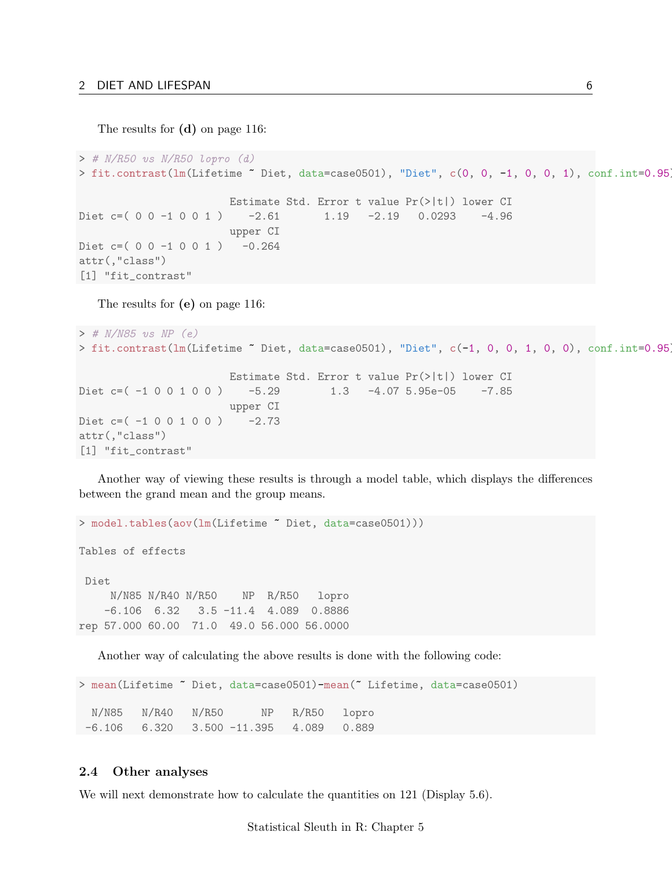The results for (d) on page 116:

```
> # N/R50 vs N/R50 lopro (d)
> fit.contrast(lm(Lifetime ~ Diet, data=case0501), "Diet", c(0, 0, -1, 0, 0, 1), conf.int=0.95)
                      Estimate Std. Error t value Pr(>|t|) lower CI
Diet c=( 0 0 -1 0 0 1 ) -2.61 1.19 -2.19 0.0293 -4.96
                      upper CI
Diet c=(0 0 -1 0 0 1) -0.264attr(,"class")
[1] "fit_contrast"
```
The results for (e) on page 116:

```
> # N/N85 vs NP (e)
> fit.contrast(lm(Lifetime ~ Diet, data=case0501), "Diet", c(-1, 0, 0, 1, 0, 0), conf.int=0.95)
                       Estimate Std. Error t value Pr(>|t|) lower CI
Diet c=( -1 0 0 1 0 0 ) -5.29 1.3 -4.07 5.95e-05 -7.85
                       upper CI
Diet c = ( -1 0 0 1 0 0 ) -2.73attr(,"class")
[1] "fit_contrast"
```
Another way of viewing these results is through a model table, which displays the differences between the grand mean and the group means.

> model.tables(aov(lm(Lifetime ~ Diet, data=case0501)))

Tables of effects

Diet N/N85 N/R40 N/R50 NP R/R50 lopro -6.106 6.32 3.5 -11.4 4.089 0.8886 rep 57.000 60.00 71.0 49.0 56.000 56.0000

Another way of calculating the above results is done with the following code:

```
> mean(Lifetime ~ Diet, data=case0501)-mean(~ Lifetime, data=case0501)
 N/N85 N/R40 N/R50 NP R/R50 lopro
-6.106 6.320 3.500 -11.395 4.089 0.889
```
## <span id="page-5-0"></span>2.4 Other analyses

We will next demonstrate how to calculate the quantities on 121 (Display 5.6).

Statistical Sleuth in R: Chapter 5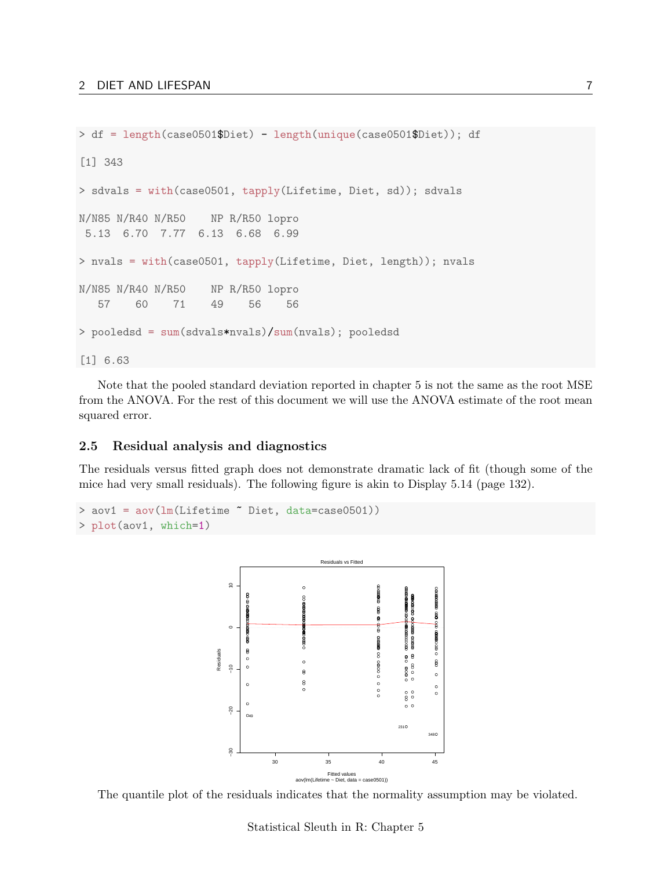```
> df = length(case0501$Diet) - length(unique(case0501$Diet)); df
[1] 343
> sdvals = with(case0501, tapply(Lifetime, Diet, sd)); sdvals
N/N85 N/R40 N/R50 NP R/R50 lopro
5.13 6.70 7.77 6.13 6.68 6.99
> nvals = with(case0501, tapply(Lifetime, Diet, length)); nvals
N/N85 N/R40 N/R50 NP R/R50 lopro
   57 60 71 49 56 56
> pooledsd = sum(sdvals*nvals)/sum(nvals); pooledsd
[1] 6.63
```
Note that the pooled standard deviation reported in chapter 5 is not the same as the root MSE from the ANOVA. For the rest of this document we will use the ANOVA estimate of the root mean squared error.

## <span id="page-6-0"></span>2.5 Residual analysis and diagnostics

The residuals versus fitted graph does not demonstrate dramatic lack of fit (though some of the mice had very small residuals). The following figure is akin to Display 5.14 (page 132).

```
> aov1 = aov(lm(Lifetime ~ Diet, data=case0501))
> plot(aov1, which=1)
```


The quantile plot of the residuals indicates that the normality assumption may be violated.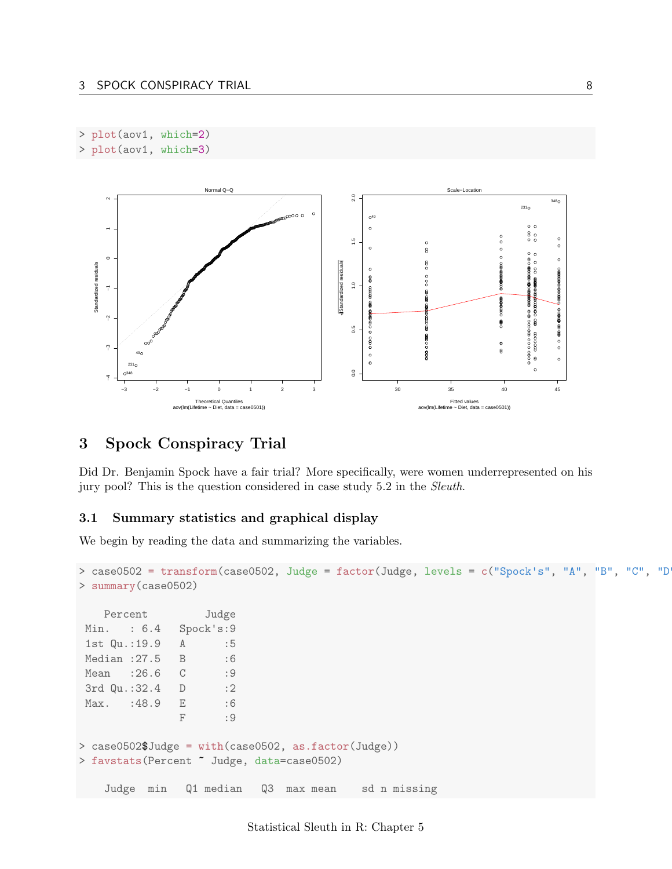```
> plot(aov1, which=2)
> plot(aov1, which=3)
```


# <span id="page-7-0"></span>3 Spock Conspiracy Trial

Did Dr. Benjamin Spock have a fair trial? More specifically, were women underrepresented on his jury pool? This is the question considered in case study 5.2 in the Sleuth.

## <span id="page-7-1"></span>3.1 Summary statistics and graphical display

We begin by reading the data and summarizing the variables.

```
> case0502 = transform(case0502, Judge = factor(Judge, levels = c("Spock's", "A", "B", "C", "D
> summary(case0502)
   Percent Judge
Min. : 6.4 Spock's:9
1st Qu.:19.9 A :5
Median : 27.5 B : 6
Mean : 26.6 C : 9
3rd Qu.:32.4 D :2
Max. : 48.9 E : 6
              F :9
> case0502$Judge = with(case0502, as.factor(Judge))
> favstats(Percent ~ Judge, data=case0502)
   Judge min Q1 median Q3 max mean sd n missing
```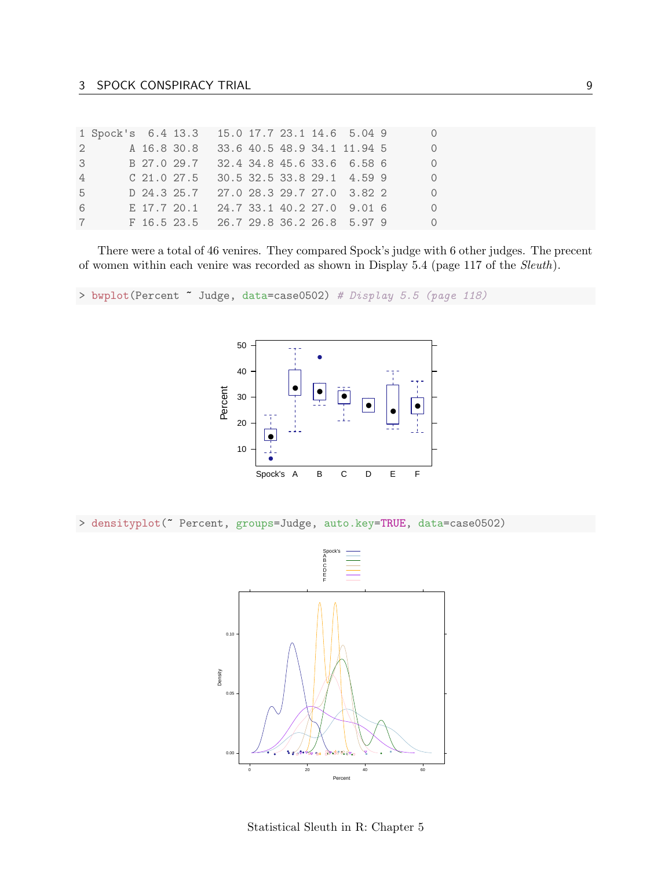|                | 1 Spock's 6.4 13.3 15.0 17.7 23.1 14.6 5.04 9 0 |  |                                         |  |  |  |  |
|----------------|-------------------------------------------------|--|-----------------------------------------|--|--|--|--|
|                | $\mathbf{2}$                                    |  | A 16.8 30.8 33.6 40.5 48.9 34.1 11.94 5 |  |  |  |  |
|                | 3 B 27.0 29.7 32.4 34.8 45.6 33.6 6.58 6        |  |                                         |  |  |  |  |
| $\overline{4}$ |                                                 |  | C 21.0 27.5 30.5 32.5 33.8 29.1 4.59 9  |  |  |  |  |
| 5              |                                                 |  | D 24.3 25.7 27.0 28.3 29.7 27.0 3.82 2  |  |  |  |  |
| 6              |                                                 |  | E 17.7 20.1 24.7 33.1 40.2 27.0 9.01 6  |  |  |  |  |
|                | 7 F 16.5 23.5 26.7 29.8 36.2 26.8 5.97 9        |  |                                         |  |  |  |  |

There were a total of 46 venires. They compared Spock's judge with 6 other judges. The precent of women within each venire was recorded as shown in Display 5.4 (page 117 of the Sleuth).

> bwplot(Percent " Judge, data=case0502) # Display 5.5 (page 118)



> densityplot(~ Percent, groups=Judge, auto.key=TRUE, data=case0502)



Statistical Sleuth in R: Chapter 5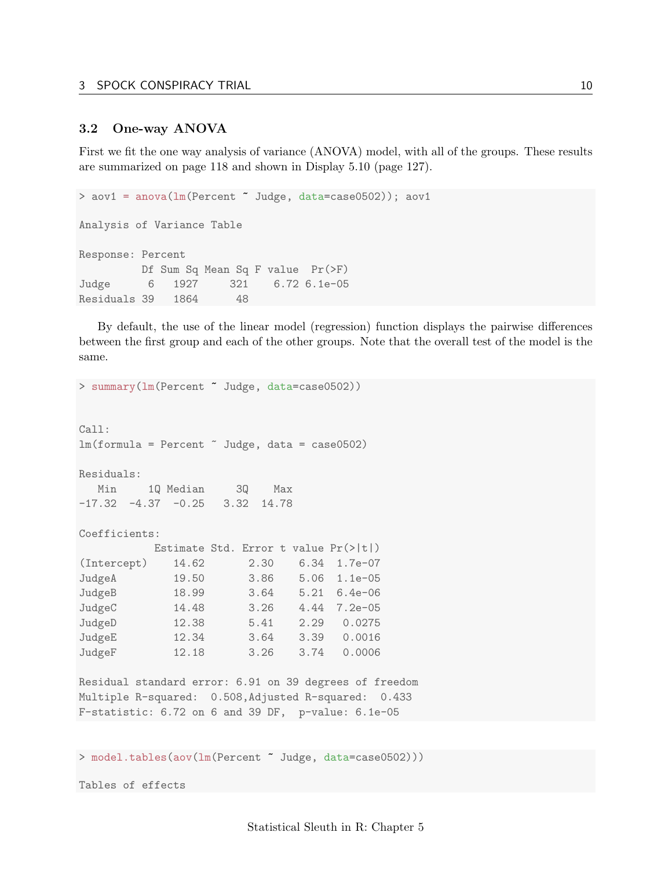#### <span id="page-9-0"></span>3.2 One-way ANOVA

First we fit the one way analysis of variance (ANOVA) model, with all of the groups. These results are summarized on page 118 and shown in Display 5.10 (page 127).

```
> aov1 = anova(lm(Percent ~ Judge, data=case0502)); aov1
Analysis of Variance Table
Response: Percent
         Df Sum Sq Mean Sq F value Pr(>F)
Judge 6 1927 321 6.72 6.1e-05
Residuals 39 1864 48
```
By default, the use of the linear model (regression) function displays the pairwise differences between the first group and each of the other groups. Note that the overall test of the model is the same.

```
> summary(lm(Percent ~ Judge, data=case0502))
Call:
lm(formula = Percent Judge, data = case0502)Residuals:
  Min 1Q Median 3Q Max
-17.32 -4.37 -0.25 3.32 14.78
Coefficients:
        Estimate Std. Error t value Pr(>|t|)
(Intercept) 14.62 2.30 6.34 1.7e-07
JudgeA 19.50 3.86 5.06 1.1e-05
JudgeB 18.99 3.64 5.21 6.4e-06
JudgeC 14.48 3.26 4.44 7.2e-05
JudgeD 12.38 5.41 2.29 0.0275
JudgeE 12.34 3.64 3.39 0.0016
JudgeF 12.18 3.26 3.74 0.0006
Residual standard error: 6.91 on 39 degrees of freedom
Multiple R-squared: 0.508,Adjusted R-squared: 0.433
F-statistic: 6.72 on 6 and 39 DF, p-value: 6.1e-05
```
> model.tables(aov(lm(Percent ~ Judge, data=case0502)))

Tables of effects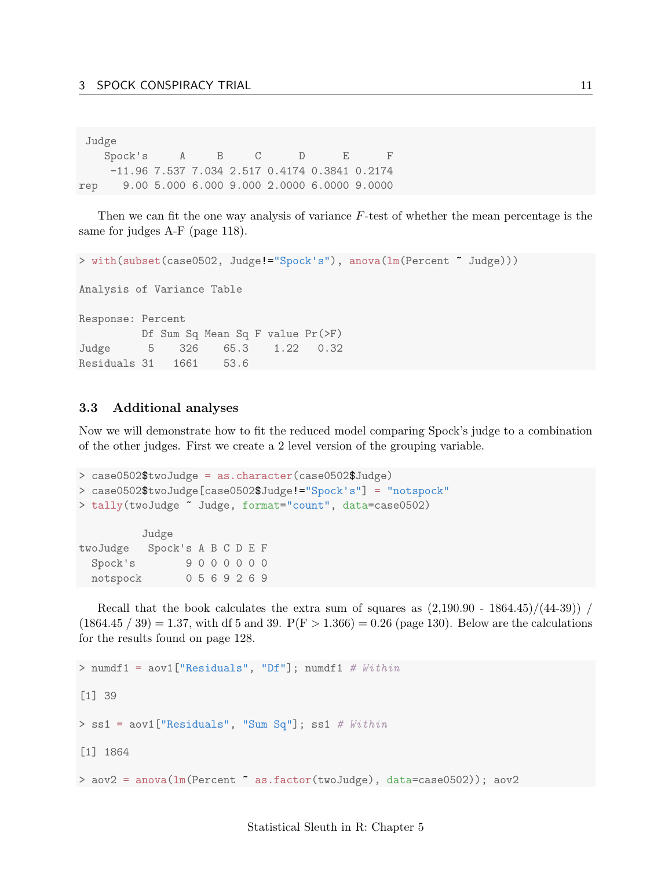|     | Judge         |  |        |      |                                                 |
|-----|---------------|--|--------|------|-------------------------------------------------|
|     | Spock's A B C |  | $\Box$ | $-E$ | F.                                              |
|     |               |  |        |      | $-11.96$ 7.537 7.034 2.517 0.4174 0.3841 0.2174 |
| rep |               |  |        |      | 9.00 5.000 6.000 9.000 2.0000 6.0000 9.0000     |

Then we can fit the one way analysis of variance  $F$ -test of whether the mean percentage is the same for judges A-F (page 118).

```
> with(subset(case0502, Judge!="Spock's"), anova(lm(Percent ~ Judge)))
Analysis of Variance Table
Response: Percent
         Df Sum Sq Mean Sq F value Pr(>F)
Judge 5 326 65.3 1.22 0.32
Residuals 31 1661 53.6
```
### <span id="page-10-0"></span>3.3 Additional analyses

Now we will demonstrate how to fit the reduced model comparing Spock's judge to a combination of the other judges. First we create a 2 level version of the grouping variable.

```
> case0502$twoJudge = as.character(case0502$Judge)
> case0502$twoJudge[case0502$Judge!="Spock's"] = "notspock"
> tally(twoJudge ~ Judge, format="count", data=case0502)
         Judge
twoJudge Spock's A B C D E F
 Spock's 9 0 0 0 0 0 0
 notspock 0 5 6 9 2 6 9
```
Recall that the book calculates the extra sum of squares as  $(2,190.90 - 1864.45)/(44-39)$  /  $(1864.45 / 39) = 1.37$ , with df 5 and 39.  $P(F > 1.366) = 0.26$  (page 130). Below are the calculations for the results found on page 128.

```
> numdf1 = aov1["Residuals", "Df"]; numdf1 # Within
[1] 39
> ss1 = aov1["Residuals", "Sum Sq"]; ss1 # Within
[1] 1864
> aov2 = anova(lm(Percent ~ as.factor(twoJudge), data=case0502)); aov2
```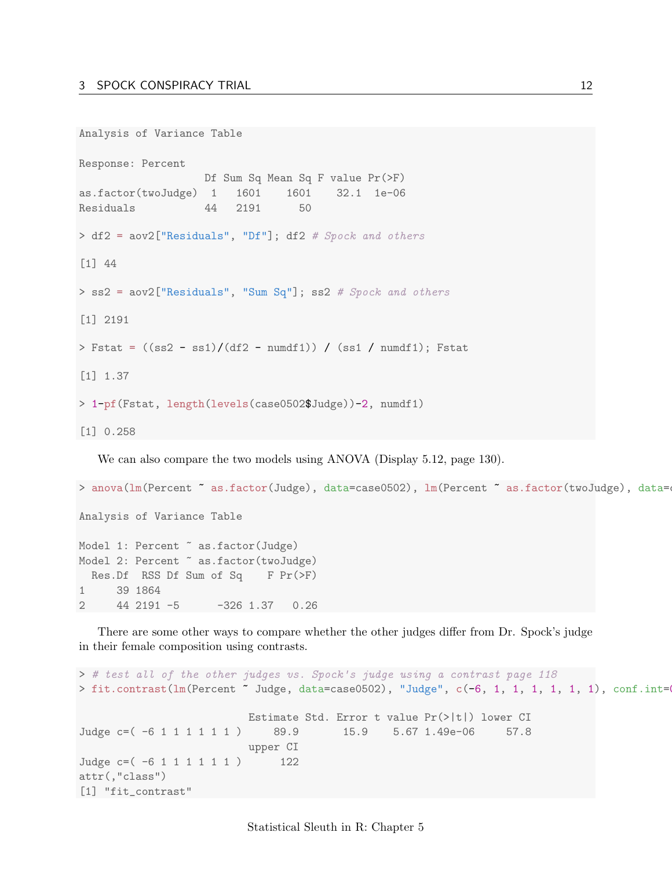```
Analysis of Variance Table
Response: Percent
                   Df Sum Sq Mean Sq F value Pr(>F)
as.factor(twoJudge) 1 1601 1601 32.1 1e-06
Residuals 44 2191 50
> df2 = aov2["Residuals", "Df"]; df2 # Spock and others
[1] 44
> ss2 = aov2["Residuals", "Sum Sq"]; ss2 # Spock and others
[1] 2191
> Fstat = ((ss2 - ss1)/(df2 - numdf1)) / (ss1 / numdf1); Fstat
[1] 1.37
> 1-pf(Fstat, length(levels(case0502$Judge))-2, numdf1)
[1] 0.258
```
We can also compare the two models using ANOVA (Display 5.12, page 130).

> anova(lm(Percent ~ as.factor(Judge), data=case0502), lm(Percent ~ as.factor(twoJudge), data= Analysis of Variance Table Model 1: Percent  $\tilde{ }$  as.factor(Judge) Model 2: Percent  $\tilde{ }$  as.factor(twoJudge) Res.Df RSS Df Sum of Sq F Pr(>F) 1 39 1864 2 44 2191 -5 -326 1.37 0.26

There are some other ways to compare whether the other judges differ from Dr. Spock's judge in their female composition using contrasts.

```
> # test all of the other judges vs. Spock's judge using a contrast page 118
> fit.contrast(lm(Percent ~ Judge, data=case0502), "Judge", c(-6, 1, 1, 1, 1, 1, 1, 1), conf.int=
                         Estimate Std. Error t value Pr(>|t|) lower CI
Judge c=( -6 1 1 1 1 1 1 ) 89.9 15.9 5.67 1.49e-06 57.8
                         upper CI
Judge c=( -6 1 1 1 1 1 1 ) 122
attr(,"class")
[1] "fit_contrast"
```